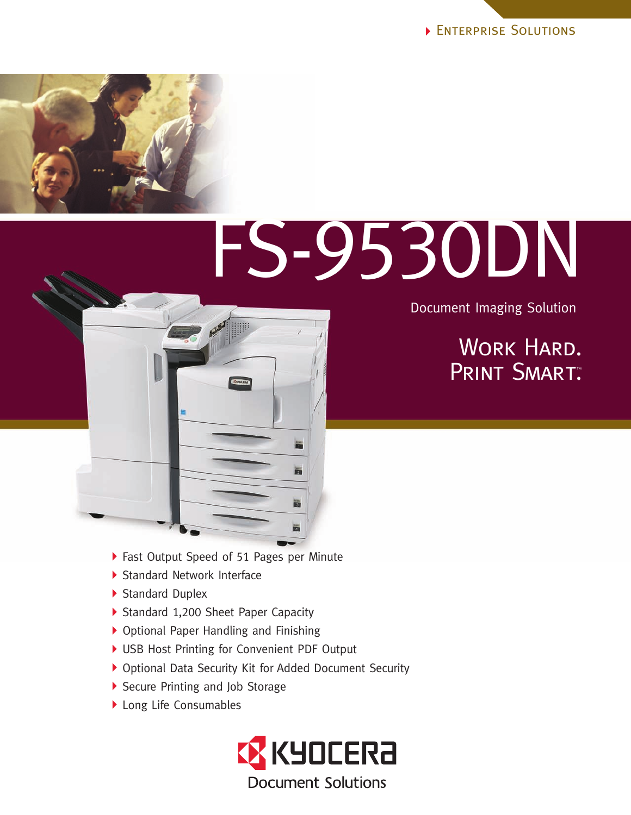

# FS-9530DN

Document Imaging Solution

### WORK HARD. PRINT SMART. ™

- Fast Output Speed of 51 Pages per Minute
- Standard Network Interface
- Standard Duplex
- Standard 1,200 Sheet Paper Capacity
- Optional Paper Handling and Finishing
- USB Host Printing for Convenient PDF Output
- Optional Data Security Kit for Added Document Security
- Secure Printing and Job Storage
- ▶ Long Life Consumables